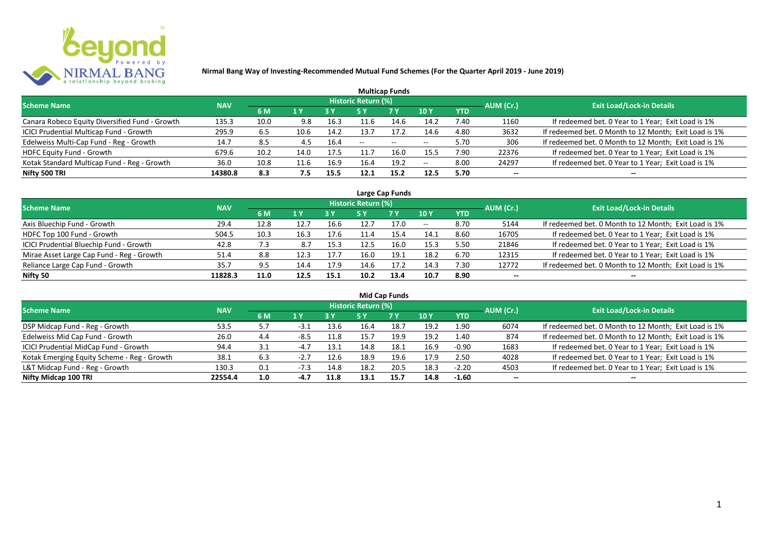

| <b>Multicap Funds</b>                          |            |      |      |            |                     |           |                          |            |           |                                                       |  |  |  |  |
|------------------------------------------------|------------|------|------|------------|---------------------|-----------|--------------------------|------------|-----------|-------------------------------------------------------|--|--|--|--|
| <b>Scheme Name</b>                             | <b>NAV</b> |      |      |            | Historic Return (%) |           |                          |            | AUM (Cr.) | <b>Exit Load/Lock-in Details</b>                      |  |  |  |  |
|                                                |            | 6 M  | 1 Y  | <b>3 Y</b> |                     | <b>7Y</b> | <b>10Y</b>               | <b>YTD</b> |           |                                                       |  |  |  |  |
| Canara Robeco Equity Diversified Fund - Growth | 135.3      | 10.0 | 9.8  | 16.3       | 11.6                | 14.6      | 14.2                     | 7.40       | 1160      | If redeemed bet. 0 Year to 1 Year; Exit Load is 1%    |  |  |  |  |
| ICICI Prudential Multicap Fund - Growth        | 295.9      | 6.5  | 10.6 | 14.2       | 13.7                | 17.2      | 14.6                     | 4.80       | 3632      | If redeemed bet. 0 Month to 12 Month; Exit Load is 1% |  |  |  |  |
| Edelweiss Multi-Cap Fund - Reg - Growth        | 14.7       | 8.5  |      | 16.4       | $- -$               | $- -$     | $\overline{\phantom{m}}$ | 5.70       | 306       | If redeemed bet. 0 Month to 12 Month; Exit Load is 1% |  |  |  |  |
| <b>HDFC Equity Fund - Growth</b>               | 679.6      | 10.2 | 14.0 | 17.5       | 11.7                | 16.0      | 15.5                     | 7.90       | 22376     | If redeemed bet. 0 Year to 1 Year; Exit Load is 1%    |  |  |  |  |
| Kotak Standard Multicap Fund - Reg - Growth    | 36.0       | 10.8 | 11.6 | 16.9       | 16.4                | 19.2      | $\overline{\phantom{m}}$ | 8.00       | 24297     | If redeemed bet. 0 Year to 1 Year; Exit Load is 1%    |  |  |  |  |
| Nifty 500 TRI                                  | 14380.8    | 8.3  | 7.5  | 15.5       | 12.1                | 15.2      | 12.5                     | 5.70       | $- -$     |                                                       |  |  |  |  |

| Large Cap Funds                           |            |      |      |      |                            |           |            |            |           |                                                       |  |  |  |
|-------------------------------------------|------------|------|------|------|----------------------------|-----------|------------|------------|-----------|-------------------------------------------------------|--|--|--|
| <b>Scheme Name</b>                        | <b>NAV</b> |      |      |      | <b>Historic Return (%)</b> |           |            |            | AUM (Cr.) | <b>Exit Load/Lock-in Details</b>                      |  |  |  |
|                                           |            | 6 M  | 1 Y  | 3 Y  | 5 Y                        | <b>7Y</b> | 10Y        | <b>YTD</b> |           |                                                       |  |  |  |
| Axis Bluechip Fund - Growth               | 29.4       | 12.8 | 12.7 | 16.6 | 12.7                       | 17.0      | $\sim$ $-$ | 8.70       | 5144      | If redeemed bet. 0 Month to 12 Month; Exit Load is 1% |  |  |  |
| HDFC Top 100 Fund - Growth                | 504.5      | 10.3 | 16.3 | 17.6 | 11.4                       | 15.4      | 14.1       | 8.60       | 16705     | If redeemed bet. 0 Year to 1 Year; Exit Load is 1%    |  |  |  |
| ICICI Prudential Bluechip Fund - Growth   | 42.8       | 7.3  | 8.7  | 15.3 | 12.5                       | 16.0      | 15.3       | 5.50       | 21846     | If redeemed bet. 0 Year to 1 Year; Exit Load is 1%    |  |  |  |
| Mirae Asset Large Cap Fund - Reg - Growth | 51.4       | 8.8  | 12.3 | 17.7 | 16.0                       | 19.1      | 18.2       | 6.70       | 12315     | If redeemed bet. 0 Year to 1 Year; Exit Load is 1%    |  |  |  |
| Reliance Large Cap Fund - Growth          | 35.7       | 9.5  | 14.4 | 17.9 | 14.6                       | 17.2      | 14.3       | 7.30       | 12772     | If redeemed bet. 0 Month to 12 Month; Exit Load is 1% |  |  |  |
| Nifty 50                                  | 11828.3    | 11.0 | 12.5 | 15.1 | 10.2                       | 13.4      | 10.7       | 8.90       | $- -$     |                                                       |  |  |  |

| <b>Mid Cap Funds</b>                        |            |     |        |      |                            |      |      |            |                          |                                                       |  |  |  |
|---------------------------------------------|------------|-----|--------|------|----------------------------|------|------|------------|--------------------------|-------------------------------------------------------|--|--|--|
| <b>Scheme Name</b>                          | <b>NAV</b> |     |        |      | <b>Historic Return (%)</b> |      |      |            | AUM (Cr.)                | <b>Exit Load/Lock-in Details</b>                      |  |  |  |
|                                             |            | 6 M | 1 Y    | 3 Y  | 5 Y                        | 7 Y  | 10 Y | <b>YTD</b> |                          |                                                       |  |  |  |
| DSP Midcap Fund - Reg - Growth              | 53.5       | 5.7 | -3.1   | 13.6 | 16.4                       | 18.7 | 19.2 | 1.90       | 6074                     | If redeemed bet. 0 Month to 12 Month; Exit Load is 1% |  |  |  |
| Edelweiss Mid Cap Fund - Growth             | 26.0       | 4.4 | $-8.5$ | 11.8 | 15.7                       | 19.9 | 19.2 | 1.40       | 874                      | If redeemed bet. 0 Month to 12 Month; Exit Load is 1% |  |  |  |
| ICICI Prudential MidCap Fund - Growth       | 94.4       | 3.1 | $-4.7$ | 13.1 | 14.8                       | 18.1 | 16.9 | $-0.90$    | 1683                     | If redeemed bet. 0 Year to 1 Year; Exit Load is 1%    |  |  |  |
| Kotak Emerging Equity Scheme - Reg - Growth | 38.1       | 6.3 | $-2.7$ | 12.6 | 18.9                       | 19.6 | 17.9 | 2.50       | 4028                     | If redeemed bet. 0 Year to 1 Year; Exit Load is 1%    |  |  |  |
| L&T Midcap Fund - Reg - Growth              | 130.3      | 0.1 |        | 14.8 | 18.2                       | 20.5 | 18.3 | $-2.20$    | 4503                     | If redeemed bet. 0 Year to 1 Year; Exit Load is 1%    |  |  |  |
| Nifty Midcap 100 TRI                        | 22554.4    | 1.0 | $-4.7$ | 11.8 | 13.1                       | 15.7 | 14.8 | $-1.60$    | $\overline{\phantom{a}}$ | --                                                    |  |  |  |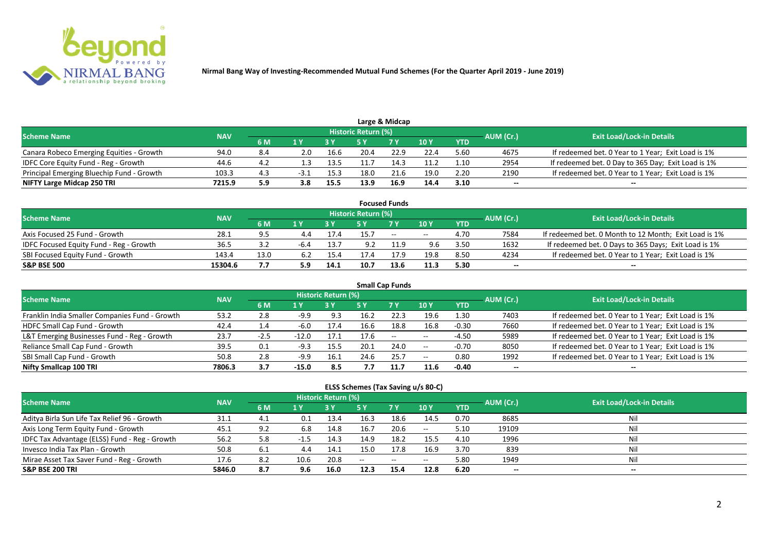

|                                           |            |     |      |      |                            | Large & Midcap |      |            |           |                                                    |
|-------------------------------------------|------------|-----|------|------|----------------------------|----------------|------|------------|-----------|----------------------------------------------------|
| <b>Scheme Name</b>                        | <b>NAV</b> |     |      |      | <b>Historic Return (%)</b> |                |      |            | AUM (Cr.) | <b>Exit Load/Lock-in Details</b>                   |
|                                           |            | 6 M |      |      |                            | <b>7 Y</b>     | 10 Y | <b>YTD</b> |           |                                                    |
| Canara Robeco Emerging Equities - Growth  | 94.0       | 8.4 | 2.0  | 16.6 | 20.4                       | 22.9           | 22.4 | 5.60       | 4675      | If redeemed bet. 0 Year to 1 Year; Exit Load is 1% |
| IDFC Core Equity Fund - Reg - Growth      | 44.6       | 4.2 |      | 13.5 | 11.7                       | 14.3           | 11.2 | 1.10       | 2954      | If redeemed bet. 0 Day to 365 Day; Exit Load is 1% |
| Principal Emerging Bluechip Fund - Growth | 103.3      | 4.3 | -3.1 | 15.3 | 18.0                       | 21.6           | 19.0 | 2.20       | 2190      | If redeemed bet. 0 Year to 1 Year; Exit Load is 1% |
| NIFTY Large Midcap 250 TRI                | 7215.9     | 5.9 | 3.8  | 15.5 | 13.9                       | 16.9           | 14.4 | 3.10       | --        | $- -$                                              |

|                                                |            |      |     |      |                     | <b>Focused Funds</b> |       |            |           |                                                       |
|------------------------------------------------|------------|------|-----|------|---------------------|----------------------|-------|------------|-----------|-------------------------------------------------------|
| <b>Scheme Name</b>                             | <b>NAV</b> |      |     |      | Historic Return (%) |                      |       |            | AUM (Cr.) | <b>Exit Load/Lock-in Details</b>                      |
|                                                |            | 6 M  | 1 V |      |                     | 7 Y                  | 10Y   | <b>YTD</b> |           |                                                       |
| Axis Focused 25 Fund - Growth                  | 28.1       | 9.5  |     | 17.4 | 15.7                | $\sim$               | $- -$ | 4.70       | 7584      | If redeemed bet. 0 Month to 12 Month; Exit Load is 1% |
| <b>IDFC Focused Equity Fund - Reg - Growth</b> | 36.5       |      |     | 13.7 | 9.2                 | 11.9                 | 9.6   | 3.50       | 1632      | If redeemed bet. 0 Days to 365 Days; Exit Load is 1%  |
| SBI Focused Equity Fund - Growth               | 143.4      | 13.0 | 6.2 | 15.4 |                     | 17.9                 | 19.8  | 8.50       | 4234      | If redeemed bet. 0 Year to 1 Year; Exit Load is 1%    |
| <b>S&amp;P BSE 500</b>                         | 15304.6    |      | 5.9 | 14.1 | 10.7                | 13.6                 | 11.3  | 5.30       | --        | --                                                    |

| <b>Small Cap Funds</b>                         |            |                |         |                     |      |                          |            |            |           |                                                    |  |  |  |
|------------------------------------------------|------------|----------------|---------|---------------------|------|--------------------------|------------|------------|-----------|----------------------------------------------------|--|--|--|
| <b>Scheme Name</b>                             | <b>NAV</b> |                |         | Historic Return (%) |      |                          |            |            | AUM (Cr.) | <b>Exit Load/Lock-in Details</b>                   |  |  |  |
|                                                |            | 6 M            | 1 Y     |                     | 5 Y  | <b>7Y</b>                | 10Y        | <b>YTD</b> |           |                                                    |  |  |  |
| Franklin India Smaller Companies Fund - Growth | 53.2       | 2.8            | $-9.9$  | 9.3                 | 16.2 | 22.3                     | 19.6       | 1.30       | 7403      | If redeemed bet. 0 Year to 1 Year; Exit Load is 1% |  |  |  |
| HDFC Small Cap Fund - Growth                   | 42.4       | $\mathbf{1.4}$ | -6.0    | 17.4                | 16.6 | 18.8                     | 16.8       | $-0.30$    | 7660      | If redeemed bet. 0 Year to 1 Year; Exit Load is 1% |  |  |  |
| L&T Emerging Businesses Fund - Reg - Growth    | 23.7       | $-2.5$         | $-12.0$ | 17.1                | 17.6 | $\overline{\phantom{a}}$ | $\sim$ $-$ | $-4.50$    | 5989      | If redeemed bet. 0 Year to 1 Year; Exit Load is 1% |  |  |  |
| Reliance Small Cap Fund - Growth               | 39.5       | 0.1            | $-9.3$  | 15.5                | 20.1 | 24.0                     | $\sim$ $-$ | $-0.70$    | 8050      | If redeemed bet. 0 Year to 1 Year; Exit Load is 1% |  |  |  |
| SBI Small Cap Fund - Growth                    | 50.8       | 2.8            | $-9.9$  | 16.1                | 24.6 | 25.7                     | $- -$      | 0.80       | 1992      | If redeemed bet. 0 Year to 1 Year; Exit Load is 1% |  |  |  |
| Nifty Smallcap 100 TRI                         | 7806.3     | 3.7            | $-15.0$ | 8.5                 |      |                          | 11.6       | $-0.40$    | --        |                                                    |  |  |  |

### **ELSS Schemes (Tax Saving u/s 80-C)**

| <b>Scheme Name</b>                            | <b>NAV</b> |      |      | <b>Historic Return (%)</b> |      |            |                 |            | AUM (Cr.) | <b>Exit Load/Lock-in Details</b> |
|-----------------------------------------------|------------|------|------|----------------------------|------|------------|-----------------|------------|-----------|----------------------------------|
|                                               |            | 6 M  | 1 Y  |                            | 5 Y  | <b>7 Y</b> | 10 <sub>1</sub> | <b>YTD</b> |           |                                  |
| Aditya Birla Sun Life Tax Relief 96 - Growth  | 31.1       |      | 0.1  | 13.4                       | 16.3 | 18.6       | 14.5            | 0.70       | 8685      |                                  |
| Axis Long Term Equity Fund - Growth           | 45.1       | 9.2  | 6.8  | 14.8                       | 16.7 | 20.6       | $\sim$ $-$      | 5.10       | 19109     | Nil                              |
| IDFC Tax Advantage (ELSS) Fund - Reg - Growth | 56.2       | 5.8  |      | 14.3                       | 14.9 | 18.2       | 15.5            | 4.10       | 1996      | Ni                               |
| Invesco India Tax Plan - Growth               | 50.8       | -6.1 | 4.4  | 14.1                       | 15.0 | 17.8       | 16.9            | 3.70       | 839       | Ni                               |
| Mirae Asset Tax Saver Fund - Reg - Growth     | 17.6       | 8.2  | 10.6 | 20.8                       | $-$  | $--$       | $- -$           | 5.80       | 1949      | Nil                              |
| <b>S&amp;P BSE 200 TRI</b>                    | 5846.0     | 8.7  | 9.6  | 16.0                       | 12.3 | 15.4       | 12.8            | 6.20       | --        | $- -$                            |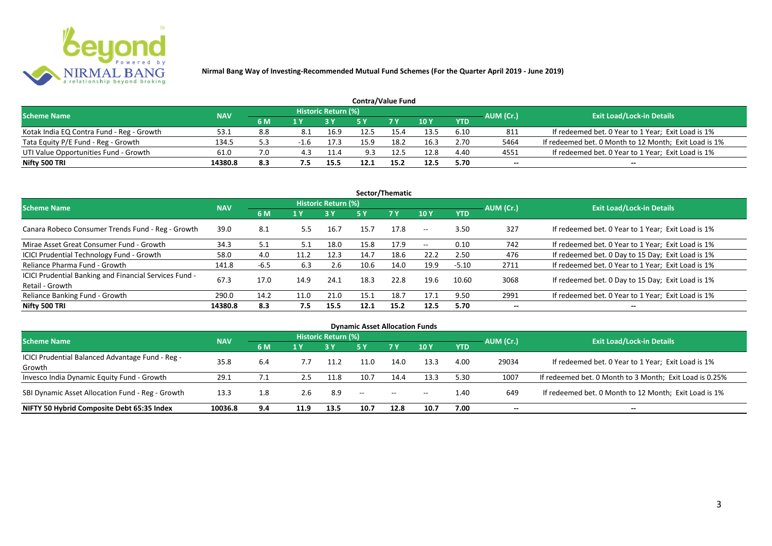

| <b>Contra/Value Fund</b>                  |            |     |     |                     |      |            |      |            |           |                                                       |  |  |  |
|-------------------------------------------|------------|-----|-----|---------------------|------|------------|------|------------|-----------|-------------------------------------------------------|--|--|--|
| <b>Scheme Name</b>                        | <b>NAV</b> |     |     | Historic Return (%) |      |            |      |            | AUM (Cr.) | <b>Exit Load/Lock-in Details</b>                      |  |  |  |
|                                           |            | 6 M |     |                     |      | <b>7 Y</b> | 10Y  | <b>YTD</b> |           |                                                       |  |  |  |
| Kotak India EQ Contra Fund - Reg - Growth | 53.1       | 8.8 | 8.1 | 16.9                | 12.5 | 15.4       | 13.5 | 6.10       | 811       | If redeemed bet. 0 Year to 1 Year; Exit Load is 1%    |  |  |  |
| Tata Equity P/E Fund - Reg - Growth       | 134.5      |     |     | 17.3                |      | 18.2       | 16.3 | 2.70       | 5464      | If redeemed bet. 0 Month to 12 Month; Exit Load is 1% |  |  |  |
| UTI Value Opportunities Fund - Growth     | 61.0       | 7.0 | 4.3 | 11.4                | 9.3  | 12.5       | 12.8 | 4.40       | 4551      | If redeemed bet. 0 Year to 1 Year; Exit Load is 1%    |  |  |  |
| Nifty 500 TRI                             | 14380.8    | 8.3 | 7.5 | 15.5                |      | 15.2       | 12.5 | 5.70       | --        | $- -$                                                 |  |  |  |

| Sector/Thematic                                                           |            |        |      |                            |      |           |                          |            |           |                                                    |  |  |  |
|---------------------------------------------------------------------------|------------|--------|------|----------------------------|------|-----------|--------------------------|------------|-----------|----------------------------------------------------|--|--|--|
| <b>Scheme Name</b>                                                        | <b>NAV</b> |        |      | <b>Historic Return (%)</b> |      |           |                          |            | AUM (Cr.) | <b>Exit Load/Lock-in Details</b>                   |  |  |  |
|                                                                           |            | 6 M    | 1 Y  | <b>3 Y</b>                 | 5 Y  | <b>7Y</b> | <b>10Y</b>               | <b>YTD</b> |           |                                                    |  |  |  |
| Canara Robeco Consumer Trends Fund - Reg - Growth                         | 39.0       | 8.1    | 5.5  | 16.7                       | 15.7 | 17.8      | $\sim$ $\sim$            | 3.50       | 327       | If redeemed bet. 0 Year to 1 Year; Exit Load is 1% |  |  |  |
| Mirae Asset Great Consumer Fund - Growth                                  | 34.3       | 5.1    | 5.1  | 18.0                       | 15.8 | 17.9      | $\overline{\phantom{a}}$ | 0.10       | 742       | If redeemed bet. 0 Year to 1 Year; Exit Load is 1% |  |  |  |
| <b>ICICI Prudential Technology Fund - Growth</b>                          | 58.0       | 4.0    | 11.2 | 12.3                       | 14.7 | 18.6      | 22.2                     | 2.50       | 476       | If redeemed bet. 0 Day to 15 Day; Exit Load is 1%  |  |  |  |
| Reliance Pharma Fund - Growth                                             | 141.8      | $-6.5$ | 6.3  | 2.6                        | 10.6 | 14.0      | 19.9                     | $-5.10$    | 2711      | If redeemed bet. 0 Year to 1 Year; Exit Load is 1% |  |  |  |
| ICICI Prudential Banking and Financial Services Fund -<br>Retail - Growth | 67.3       | 17.0   | 14.9 | 24.1                       | 18.3 | 22.8      | 19.6                     | 10.60      | 3068      | If redeemed bet. 0 Day to 15 Day; Exit Load is 1%  |  |  |  |
| Reliance Banking Fund - Growth                                            | 290.0      | 14.2   | 11.0 | 21.0                       | 15.1 | 18.7      | 17.1                     | 9.50       | 2991      | If redeemed bet. 0 Year to 1 Year; Exit Load is 1% |  |  |  |
| Nifty 500 TRI                                                             | 14380.8    | 8.3    | 7.5  | 15.5                       | 12.1 | 15.2      | 12.5                     | 5.70       | $- -$     | $\overline{\phantom{a}}$                           |  |  |  |

| <b>Dynamic Asset Allocation Funds</b>            |            |     |      |                            |                                                |           |            |            |           |                                                         |  |  |  |
|--------------------------------------------------|------------|-----|------|----------------------------|------------------------------------------------|-----------|------------|------------|-----------|---------------------------------------------------------|--|--|--|
| <b>Scheme Name</b>                               | <b>NAV</b> |     |      | <b>Historic Return (%)</b> |                                                |           |            |            |           | <b>Exit Load/Lock-in Details</b>                        |  |  |  |
|                                                  |            | 6 M | 1 Y  |                            | <b>5 Y</b>                                     | <b>7Y</b> | <b>10Y</b> | <b>YTD</b> | AUM (Cr.) |                                                         |  |  |  |
| ICICI Prudential Balanced Advantage Fund - Reg - |            |     |      |                            |                                                |           |            |            |           |                                                         |  |  |  |
| Growth                                           | 35.8       | 6.4 |      | 11.2                       | 11.0                                           | 14.0      | 13.3       | 4.00       | 29034     | If redeemed bet. 0 Year to 1 Year; Exit Load is 1%      |  |  |  |
| Invesco India Dynamic Equity Fund - Growth       | 29.1       | 7.1 | 2.5  | 11.8                       | 10.7                                           | 14.4      | 13.3       | 5.30       | 1007      | If redeemed bet. 0 Month to 3 Month; Exit Load is 0.25% |  |  |  |
| SBI Dynamic Asset Allocation Fund - Reg - Growth | 13.3       | 1.8 | 2.6  | 8.9                        | $\hspace{0.1mm}-\hspace{0.1mm}-\hspace{0.1mm}$ | $\sim$    | $- -$      | 1.40       | 649       | If redeemed bet. 0 Month to 12 Month; Exit Load is 1%   |  |  |  |
| NIFTY 50 Hybrid Composite Debt 65:35 Index       | 10036.8    | 9.4 | 11.9 | 13.5                       | 10.7                                           | 12.8      | 10.7       | 7.00       | --        | $- -$                                                   |  |  |  |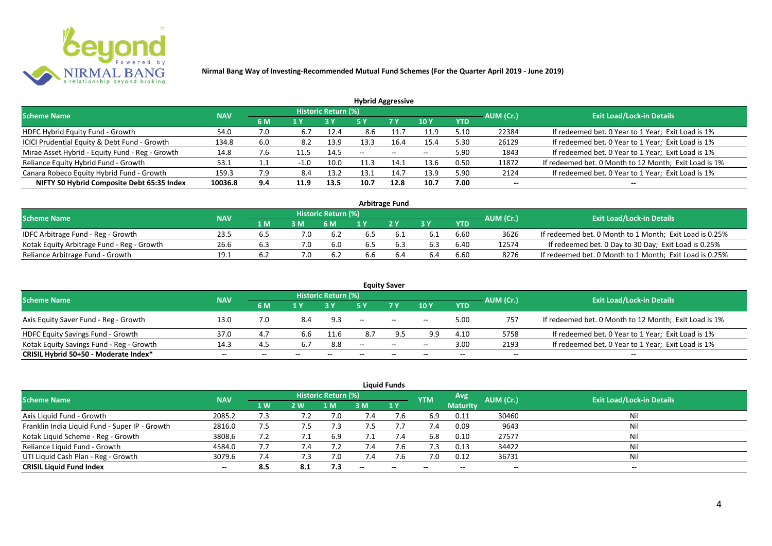

| <b>Hybrid Aggressive</b>                        |            |     |        |                            |      |       |                 |            |           |                                                       |  |  |  |
|-------------------------------------------------|------------|-----|--------|----------------------------|------|-------|-----------------|------------|-----------|-------------------------------------------------------|--|--|--|
| <b>Scheme Name</b>                              | <b>NAV</b> |     |        | <b>Historic Return (%)</b> |      |       |                 |            | AUM (Cr.) | <b>Exit Load/Lock-in Details</b>                      |  |  |  |
|                                                 |            | 6 M | 1 Y    |                            | 5 Y  | 7 Y   | 10 <sub>Y</sub> | <b>YTD</b> |           |                                                       |  |  |  |
| HDFC Hybrid Equity Fund - Growth                | 54.0       | 7.0 | 6.7    | 12.4                       | 8.6  |       | 11.9            | 5.10       | 22384     | If redeemed bet. 0 Year to 1 Year; Exit Load is 1%    |  |  |  |
| ICICI Prudential Equity & Debt Fund - Growth    | 134.8      | 6.0 | 8.2    | 13.9                       | 13.3 | 16.4  | 15.4            | 5.30       | 26129     | If redeemed bet. 0 Year to 1 Year; Exit Load is 1%    |  |  |  |
| Mirae Asset Hybrid - Equity Fund - Reg - Growth | 14.8       | 7.6 |        | 14.5                       | --   | $- -$ | $-$             | 5.90       | 1843      | If redeemed bet. 0 Year to 1 Year; Exit Load is 1%    |  |  |  |
| Reliance Equity Hybrid Fund - Growth            | 53.1       |     | $-1.0$ | 10.0                       | 11.3 | 14.1  | 13.6            | 0.50       | 11872     | If redeemed bet. 0 Month to 12 Month; Exit Load is 1% |  |  |  |
| Canara Robeco Equity Hybrid Fund - Growth       | 159.3      | 7.9 | 8.4    | 13.2                       | 13.1 | 14.7  | 13.9            | 5.90       | 2124      | If redeemed bet. 0 Year to 1 Year; Exit Load is 1%    |  |  |  |
| NIFTY 50 Hybrid Composite Debt 65:35 Index      | 10036.8    | 9.4 | 11.9   | 13.5                       | 10.7 | 12.8  | 10.7            | 7.00       | $- -$     |                                                       |  |  |  |
|                                                 |            |     |        |                            |      |       |                 |            |           |                                                       |  |  |  |

| <b>Arbitrage Fund</b>                      |            |      |     |                            |     |     |     |            |           |                                                         |  |  |  |
|--------------------------------------------|------------|------|-----|----------------------------|-----|-----|-----|------------|-----------|---------------------------------------------------------|--|--|--|
| <b>Scheme Name</b>                         | <b>NAV</b> |      |     | <b>Historic Return (%)</b> |     |     |     |            | AUM (Cr.) | <b>Exit Load/Lock-in Details</b>                        |  |  |  |
|                                            |            | 1 M. |     | 6 M                        |     | 2V  |     | <b>YTD</b> |           |                                                         |  |  |  |
| IDFC Arbitrage Fund - Reg - Growth         | 23.5       | b.5  |     | 6.2                        | b.5 |     |     | 6.60       | 3626      | If redeemed bet. 0 Month to 1 Month; Exit Load is 0.25% |  |  |  |
| Kotak Equity Arbitrage Fund - Reg - Growth | 26.6       | 6.3  | 7.0 | 6.0                        | 6.5 | 6.3 | 6.3 | 6.40       | 12574     | If redeemed bet. 0 Day to 30 Day; Exit Load is 0.25%    |  |  |  |
| Reliance Arbitrage Fund - Growth           | 19.1       |      |     | 6.2                        | d.c |     | 6.4 | 6.60       | 8276      | If redeemed bet. 0 Month to 1 Month; Exit Load is 0.25% |  |  |  |

|                                          |            |       |       |                            |                   | <b>Equity Saver</b> |                          |            |                          |                                                       |
|------------------------------------------|------------|-------|-------|----------------------------|-------------------|---------------------|--------------------------|------------|--------------------------|-------------------------------------------------------|
| <b>Scheme Name</b>                       | <b>NAV</b> |       |       | <b>Historic Return (%)</b> |                   |                     |                          |            |                          | <b>Exit Load/Lock-in Details</b>                      |
|                                          |            | 6 M   |       |                            |                   | <b>7Y</b>           | 10Y                      | <b>YTD</b> | AUM (Cr.)                |                                                       |
| Axis Equity Saver Fund - Reg - Growth    | 13.0       | 7.0   | 8.4   | 9.3                        | $\hspace{0.05cm}$ | $\sim$              | $ -$                     | 5.00       | 757                      | If redeemed bet. 0 Month to 12 Month; Exit Load is 1% |
| <b>HDFC Equity Savings Fund - Growth</b> | 37.0       | 4.7   | 6.6   | 11.6                       |                   |                     | 9.9                      | 4.10       | 5758                     | If redeemed bet. 0 Year to 1 Year; Exit Load is 1%    |
| Kotak Equity Savings Fund - Reg - Growth | 14.3       | 4.5   | 6.7   | 8.8                        | $-$               | $\sim$ $\sim$       | $- -$                    | 3.00       | 2193                     | If redeemed bet. 0 Year to 1 Year; Exit Load is 1%    |
| CRISIL Hybrid 50+50 - Moderate Index*    | $- -$      | $- -$ | $- -$ | $- -$                      |                   | $- -$               | $\overline{\phantom{a}}$ | $- -$      | $\overline{\phantom{a}}$ | $- -$                                                 |

| <b>Liquid Funds</b>                            |            |           |     |                            |            |      |            |                 |           |                                  |  |  |  |  |
|------------------------------------------------|------------|-----------|-----|----------------------------|------------|------|------------|-----------------|-----------|----------------------------------|--|--|--|--|
| Scheme Name                                    | <b>NAV</b> |           |     | <b>Historic Return (%)</b> |            |      | <b>YTM</b> | <b>Avg</b>      | AUM (Cr.) | <b>Exit Load/Lock-in Details</b> |  |  |  |  |
|                                                |            | <b>1W</b> | 2 W | 1 M'                       | 3 M        | 71 Y |            | <b>Maturity</b> |           |                                  |  |  |  |  |
| Axis Liquid Fund - Growth                      | 2085.2     | 7.3       |     |                            | $\angle 4$ |      | 6.9        | 0.11            | 30460     | Nil                              |  |  |  |  |
| Franklin India Liquid Fund - Super IP - Growth | 2816.0     | 7.5       | 7.5 |                            |            |      | 7.4        | 0.09            | 9643      | Nil                              |  |  |  |  |
| Kotak Liquid Scheme - Reg - Growth             | 3808.6     | 7.2       | 7.1 | 6.9                        |            | 7.4  | 6.8        | 0.10            | 27577     | Nil                              |  |  |  |  |
| Reliance Liquid Fund - Growth                  | 4584.0     | 7.7       | 7.4 |                            | 7.4        | 7.Ь  | 7.3        | 0.13            | 34422     | Nil                              |  |  |  |  |
| UTI Liquid Cash Plan - Reg - Growth            | 3079.6     | 7.4       | 7.3 | 7.0                        | 7.4        |      | 7.0        | 0.12            | 36731     | Nil                              |  |  |  |  |
| <b>CRISIL Liquid Fund Index</b>                | $- -$      | 8.5       | 8.1 | 7.3                        | $-$        | $-$  | $- -$      | $- -$           | $- -$     | $\sim$                           |  |  |  |  |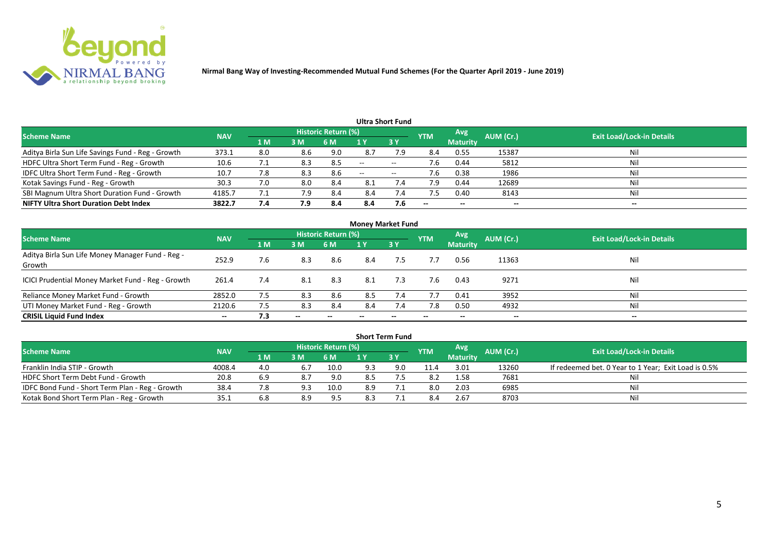

| Ultra Short Fund                                  |            |     |     |                            |       |                   |                          |                 |                          |                                  |  |  |  |  |
|---------------------------------------------------|------------|-----|-----|----------------------------|-------|-------------------|--------------------------|-----------------|--------------------------|----------------------------------|--|--|--|--|
| <b>Scheme Name</b>                                | <b>NAV</b> |     |     | <b>Historic Return (%)</b> |       |                   | <b>YTM</b>               | <b>Avg</b>      | AUM (Cr.)                | <b>Exit Load/Lock-in Details</b> |  |  |  |  |
|                                                   |            | 1 M | 3M  | 6 M                        |       | 3Y                |                          | <b>Maturity</b> |                          |                                  |  |  |  |  |
| Aditya Birla Sun Life Savings Fund - Reg - Growth | 373.1      | 8.0 | 8.6 | 9.0                        | 8.7   | 7.9               | 8.4                      | 0.55            | 15387                    | Nil                              |  |  |  |  |
| HDFC Ultra Short Term Fund - Reg - Growth         | 10.6       |     | 8.3 | 8.5                        | $-$   | $- -$             |                          | 0.44            | 5812                     | Nil                              |  |  |  |  |
| IDFC Ultra Short Term Fund - Reg - Growth         | 10.7       | 7.8 | 8.3 | 8.6                        | $- -$ | $\hspace{0.05cm}$ | 7.6                      | 0.38            | 1986                     | Nil                              |  |  |  |  |
| Kotak Savings Fund - Reg - Growth                 | 30.3       | 7.0 | 8.0 | 8.4                        | 8.1   | 7.4               | 7.9                      | 0.44            | 12689                    | Nil                              |  |  |  |  |
| SBI Magnum Ultra Short Duration Fund - Growth     | 4185.7     | 7.1 | 7.9 | 8.4                        | 8.4   | 7.4               |                          | 0.40            | 8143                     | Nil                              |  |  |  |  |
| <b>NIFTY Ultra Short Duration Debt Index</b>      | 3822.7     | 7.4 | 7.9 | 8.4                        | 8.4   | 7.6               | $\overline{\phantom{a}}$ | $- -$           | $\overline{\phantom{a}}$ | $\overline{\phantom{a}}$         |  |  |  |  |

| <b>Money Market Fund</b>                                   |            |     |       |                     |     |     |            |                 |           |                                  |  |  |  |
|------------------------------------------------------------|------------|-----|-------|---------------------|-----|-----|------------|-----------------|-----------|----------------------------------|--|--|--|
| <b>Scheme Name</b>                                         | <b>NAV</b> |     |       | Historic Return (%) |     |     | <b>YTM</b> | Avg             | AUM (Cr.) | <b>Exit Load/Lock-in Details</b> |  |  |  |
|                                                            |            | 1 M | 3 M   | 6 M                 | 1 Y | 3Y  |            | <b>Maturity</b> |           |                                  |  |  |  |
| Aditya Birla Sun Life Money Manager Fund - Reg -<br>Growth | 252.9      | 7.6 | 8.3   | 8.6                 | 8.4 | 7.5 | 7.7        | 0.56            | 11363     | Nil                              |  |  |  |
| ICICI Prudential Money Market Fund - Reg - Growth          | 261.4      | 7.4 | 8.1   | 8.3                 | 8.1 | 7.3 | 7.6        | 0.43            | 9271      | Nil                              |  |  |  |
| Reliance Money Market Fund - Growth                        | 2852.0     | 7.5 | 8.3   | 8.6                 | 8.5 | 7.4 | 7.7        | 0.41            | 3952      | Nil                              |  |  |  |
| UTI Money Market Fund - Reg - Growth                       | 2120.6     | 7.5 | 8.3   | 8.4                 | 8.4 | 7.4 | 7.8        | 0.50            | 4932      | Nil                              |  |  |  |
| <b>CRISIL Liquid Fund Index</b>                            | $- -$      | 7.3 | $- -$ |                     |     |     |            | --              | $- -$     | $- -$                            |  |  |  |

| <b>Short Term Fund</b>                          |            |      |     |                            |     |      |            |                 |           |                                                      |  |  |  |  |
|-------------------------------------------------|------------|------|-----|----------------------------|-----|------|------------|-----------------|-----------|------------------------------------------------------|--|--|--|--|
| <b>Scheme Name</b>                              | <b>NAV</b> |      |     | <b>Historic Return (%)</b> |     |      | <b>YTM</b> | Avg             | AUM (Cr.) | <b>Exit Load/Lock-in Details</b>                     |  |  |  |  |
|                                                 |            | 4 MZ | 3M  | 6 M                        |     | 73 Y |            | <b>Maturity</b> |           |                                                      |  |  |  |  |
| Franklin India STIP - Growth                    | 4008.4     | 4.0  | 6.7 | 10.0                       | 9.3 | 9.0  | 11.4       | 3.01            | 13260     | If redeemed bet. 0 Year to 1 Year; Exit Load is 0.5% |  |  |  |  |
| HDFC Short Term Debt Fund - Growth              | 20.8       | 6.9  | 8.7 | 9.0                        | 8.5 |      | 8.2        | 1.58            | 7681      | Ni                                                   |  |  |  |  |
| IDFC Bond Fund - Short Term Plan - Reg - Growth | 38.4       |      | 9.3 | 10.0                       | 8.9 |      | 8.0        | 2.03            | 6985      | Nil                                                  |  |  |  |  |
| Kotak Bond Short Term Plan - Reg - Growth       | 35.1       | 6.8  | 8.9 | 9.5                        | 8.3 |      |            | 2.67            | 8703      | Nil                                                  |  |  |  |  |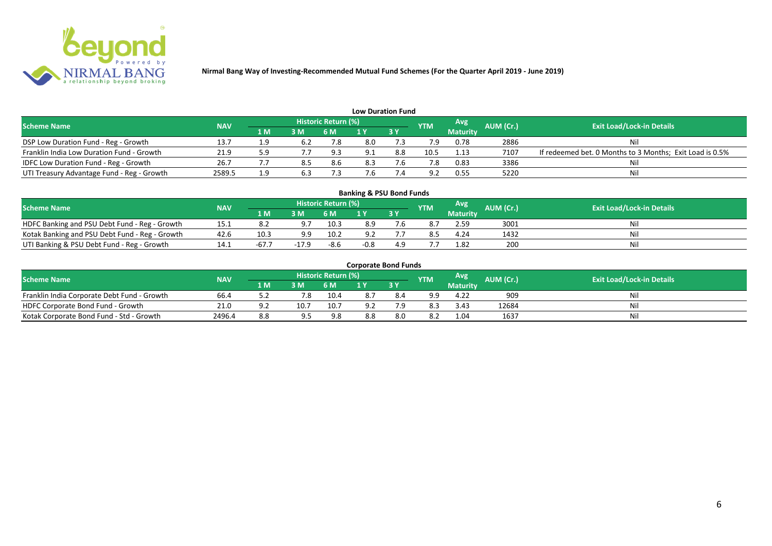

| <b>Low Duration Fund</b>                     |            |     |                |                     |     |      |                |                 |           |                                                          |  |  |  |  |
|----------------------------------------------|------------|-----|----------------|---------------------|-----|------|----------------|-----------------|-----------|----------------------------------------------------------|--|--|--|--|
| <b>Scheme Name</b>                           | <b>NAV</b> |     |                | Historic Return (%) |     |      | <b>YTM</b>     | Avg             | AUM (Cr.) | <b>Exit Load/Lock-in Details</b>                         |  |  |  |  |
|                                              |            | 1 M | 3 <sub>N</sub> | 6 M                 |     | 73 Y |                | <b>Maturity</b> |           |                                                          |  |  |  |  |
| DSP Low Duration Fund - Reg - Growth         | 13.7       |     | 6.2            | 7.8                 | 8.0 |      |                | 0.78            | 2886      | Nil                                                      |  |  |  |  |
| Franklin India Low Duration Fund - Growth    | 21.9       | 5.9 |                | 9.3                 |     | 8.8  | 10.5           | 1.13            | 7107      | If redeemed bet. 0 Months to 3 Months; Exit Load is 0.5% |  |  |  |  |
| <b>IDFC Low Duration Fund - Reg - Growth</b> | 26.7       |     |                | 8.6                 |     |      |                | 0.83            | 3386      | Nil                                                      |  |  |  |  |
| UTI Treasury Advantage Fund - Reg - Growth   | 2589.5     |     | 6.3            |                     |     |      | Q <sub>2</sub> | 0.55            | 5220      | Nil                                                      |  |  |  |  |

#### **Banking & PSU Bond Funds**

| <b>Scheme Name</b>                             | <b>NAV</b> |      |     | <b>Historic Return (%)</b> |     |      | <b>YTM</b> | Avg             |           | <b>Exit Load/Lock-in Details</b> |
|------------------------------------------------|------------|------|-----|----------------------------|-----|------|------------|-----------------|-----------|----------------------------------|
|                                                |            | 1 M  | 3 M | 5 M                        |     | 13 Y |            | <b>Maturity</b> | AUM (Cr.) |                                  |
| HDFC Banking and PSU Debt Fund - Reg - Growth  | 15.1       |      |     | 10.3                       | 8.9 |      |            | 2.59            | 3001      |                                  |
| Kotak Banking and PSU Debt Fund - Reg - Growth | 42.6       | 10.3 | a a | 10.2                       |     | . .  |            | 4.24            | 1432      |                                  |
| UTI Banking & PSU Debt Fund - Reg - Growth     | 14.1       | -67  |     | $-8.6$                     |     |      |            | 1.82            | 200       | וועו                             |

#### **Corporate Bond Funds**

| <b>Scheme Name</b>                          | <b>NAV</b> |       |      | <b>Historic Return (</b> | / Lo/ Y |     | <b>YTM</b> | Avg             | AUM (Cr.). | <b>Exit Load/Lock-in Details</b> |
|---------------------------------------------|------------|-------|------|--------------------------|---------|-----|------------|-----------------|------------|----------------------------------|
|                                             |            | 1 M   | в м  |                          |         | 3Y  |            | <b>Maturity</b> |            |                                  |
| Franklin India Corporate Debt Fund - Growth | 66.4       | ے . د | 7.8  | 10.4                     |         |     | a a        | 4.22            | 909        | Nil                              |
| HDFC Corporate Bond Fund - Growth           | 21.0       |       | 10.7 | 10.7                     | a.      | ם ד | 8.3        | 3.43            | 12684      | Nil                              |
| Kotak Corporate Bond Fund - Std - Growth    | 2496.4     | 8.8   |      | 9.8                      | 8.8     | 8.0 | 8.2        | 1.04            | 1637       | Nil                              |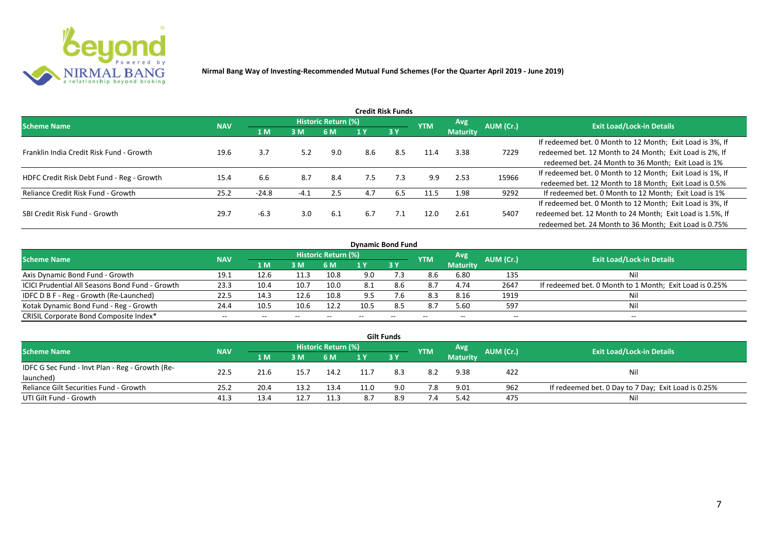

| <b>Credit Risk Funds</b>                  |            |         |        |                            |     |           |            |                 |           |                                                           |  |  |  |
|-------------------------------------------|------------|---------|--------|----------------------------|-----|-----------|------------|-----------------|-----------|-----------------------------------------------------------|--|--|--|
| <b>Scheme Name</b>                        | <b>NAV</b> |         |        | <b>Historic Return (%)</b> |     |           | <b>YTM</b> | <b>Avg</b>      | AUM (Cr.) | <b>Exit Load/Lock-in Details</b>                          |  |  |  |
|                                           |            | 1 M     | 3M     | 6 M                        | 1 Y | <b>3Y</b> |            | <b>Maturity</b> |           |                                                           |  |  |  |
|                                           |            |         |        |                            |     |           |            |                 |           | If redeemed bet. 0 Month to 12 Month; Exit Load is 3%, If |  |  |  |
| Franklin India Credit Risk Fund - Growth  | 19.6       | 3.7     | 5.2    | 9.0                        | 8.6 | 8.5       | 11.4       | 3.38            | 7229      | redeemed bet. 12 Month to 24 Month; Exit Load is 2%, If   |  |  |  |
|                                           |            |         |        |                            |     |           |            |                 |           | redeemed bet. 24 Month to 36 Month; Exit Load is 1%       |  |  |  |
| HDFC Credit Risk Debt Fund - Reg - Growth | 15.4       | 6.6     | 8.7    | 8.4                        | 7.5 | 7.3       | 9.9        | 2.53            | 15966     | If redeemed bet. 0 Month to 12 Month; Exit Load is 1%, If |  |  |  |
|                                           |            |         |        |                            |     |           |            |                 |           | redeemed bet. 12 Month to 18 Month; Exit Load is 0.5%     |  |  |  |
| Reliance Credit Risk Fund - Growth        | 25.2       | $-24.8$ | $-4.1$ | 2.5                        | 4.7 | 6.5       | 11.5       | 1.98            | 9292      | If redeemed bet. 0 Month to 12 Month; Exit Load is 1%     |  |  |  |
|                                           |            |         |        |                            |     |           |            |                 |           | If redeemed bet. 0 Month to 12 Month; Exit Load is 3%, If |  |  |  |
| SBI Credit Risk Fund - Growth             | 29.7       | $-6.3$  | 3.0    | 6.1                        | 6.7 | 7.1       | 12.0       | 2.61            | 5407      | redeemed bet. 12 Month to 24 Month; Exit Load is 1.5%, If |  |  |  |
|                                           |            |         |        |                            |     |           |            |                 |           | redeemed bet. 24 Month to 36 Month; Exit Load is 0.75%    |  |  |  |

| <b>Dynamic Bond Fund</b>                               |            |                |       |                            |      |               |            |                          |           |                                                         |  |  |  |  |
|--------------------------------------------------------|------------|----------------|-------|----------------------------|------|---------------|------------|--------------------------|-----------|---------------------------------------------------------|--|--|--|--|
| <b>Scheme Name</b>                                     | <b>NAV</b> |                |       | <b>Historic Return (%)</b> |      |               | <b>YTM</b> | Avg                      | AUM (Cr.) | <b>Exit Load/Lock-in Details</b>                        |  |  |  |  |
|                                                        |            | 1 <sub>M</sub> | 3 M   | 6 M                        |      | 3Y            |            | <b>Maturity</b>          |           |                                                         |  |  |  |  |
| Axis Dynamic Bond Fund - Growth                        | 19.1       | 12.6           | 11.3  | 10.8                       | 9.0  | '.З           | 8.6        | 6.80                     | 135       | Nil                                                     |  |  |  |  |
| <b>ICICI Prudential All Seasons Bond Fund - Growth</b> | 23.3       | 10.4           | 10.7  | 10.0                       | 8.1  | 8.6           | 8.7        | 4.74                     | 2647      | If redeemed bet. 0 Month to 1 Month; Exit Load is 0.25% |  |  |  |  |
| IDFC D B F - Reg - Growth (Re-Launched)                | 22.5       | 14.3           | 12.6  | 10.8                       | 9.5  | $^{\prime}.6$ | 8.3        | 8.16                     | 1919      | Nil                                                     |  |  |  |  |
| Kotak Dynamic Bond Fund - Reg - Growth                 | 24.4       | 10.5           | 10.6  | 12.2                       | 10.5 | 8.5           | 8.7        | 5.60                     | 597       | Nil                                                     |  |  |  |  |
| CRISIL Corporate Bond Composite Index*                 | $- -$      | $- -$          | $- -$ |                            |      | --            | $- -$      | $\overline{\phantom{a}}$ | --        | $- -$                                                   |  |  |  |  |

|                                                 |            |      |      |                     |      | <b>Gilt Funds</b> |            |                 |           |                                                     |
|-------------------------------------------------|------------|------|------|---------------------|------|-------------------|------------|-----------------|-----------|-----------------------------------------------------|
| <b>Scheme Name</b>                              | <b>NAV</b> |      |      | Historic Return (%) |      |                   | <b>YTM</b> | Avg!            | AUM (Cr.) | <b>Exit Load/Lock-in Details</b>                    |
|                                                 |            | 1 M  | 3M   | 6 M                 | 1 Y  | 3Y                |            | <b>Maturity</b> |           |                                                     |
| IDFC G Sec Fund - Invt Plan - Reg - Growth (Re- | 22.5       | 21.6 | 15.7 | 14.2                | 11.7 | 8.3               | 8.2        | 9.38            | 422       | Nil                                                 |
| launched)                                       |            |      |      |                     |      |                   |            |                 |           |                                                     |
| Reliance Gilt Securities Fund - Growth          | 25.2       | 20.4 | 13.2 | 13.4                | 11.0 | 9.0               | 7.8        | 9.01            | 962       | If redeemed bet. 0 Day to 7 Day; Exit Load is 0.25% |
| UTI Gilt Fund - Growth                          | 41.3       | 13.4 | 12.7 | 11.3                |      | 8.9               | 7.4        | 5.42            | 475       | Nil                                                 |